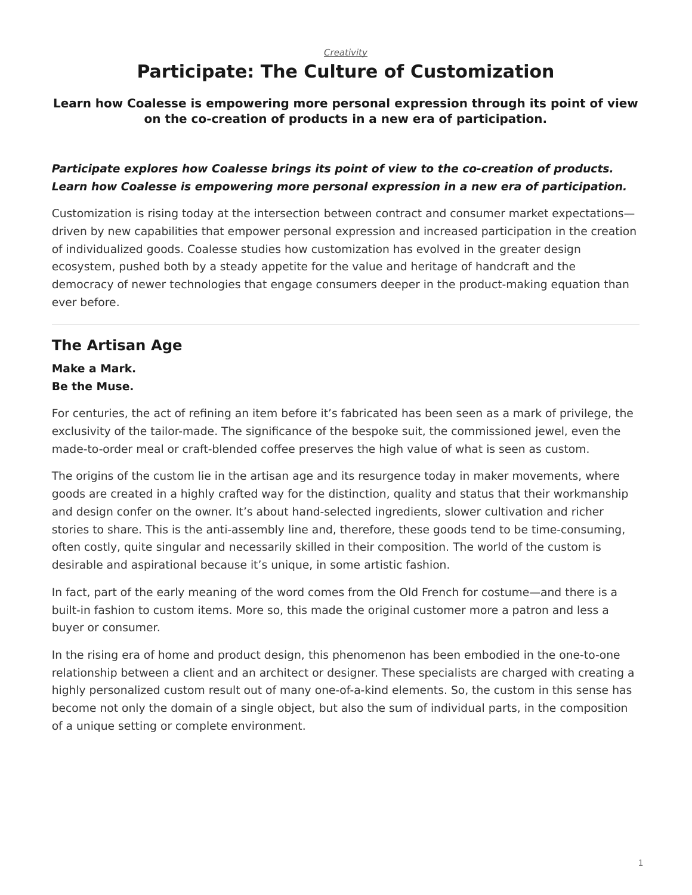# **Participate: The Culture of Customization**

## <span id="page-0-0"></span>**Learn how Coalesse is empowering more personal expression through its point of view on the co-creation of products in a new era of participation.**

## *Participate explores how Coalesse brings its point of view to the co-creation of products. Learn how Coalesse is empowering more personal expression in a new era of participation.*

Customization is rising today at the intersection between contract and consumer market expectations driven by new capabilities that empower personal expression and increased participation in the creation of individualized goods. Coalesse studies how customization has evolved in the greater design ecosystem, pushed both by a steady appetite for the value and heritage of handcraft and the democracy of newer technologies that engage consumers deeper in the product-making equation than ever before.

# **The Artisan Age**

**Make a Mark. Be the Muse.**

For centuries, the act of refining an item before it's fabricated has been seen as a mark of privilege, the exclusivity of the tailor-made. The significance of the bespoke suit, the commissioned jewel, even the made-to-order meal or craft-blended coffee preserves the high value of what is seen as custom.

The origins of the custom lie in the artisan age and its resurgence today in maker movements, where goods are created in a highly crafted way for the distinction, quality and status that their workmanship and design confer on the owner. It's about hand-selected ingredients, slower cultivation and richer stories to share. This is the anti-assembly line and, therefore, these goods tend to be time-consuming, often costly, quite singular and necessarily skilled in their composition. The world of the custom is desirable and aspirational because it's unique, in some artistic fashion.

In fact, part of the early meaning of the word comes from the Old French for costume—and there is a built-in fashion to custom items. More so, this made the original customer more a patron and less a buyer or consumer.

In the rising era of home and product design, this phenomenon has been embodied in the one-to-one relationship between a client and an architect or designer. These specialists are charged with creating a highly personalized custom result out of many one-of-a-kind elements. So, the custom in this sense has become not only the domain of a single object, but also the sum of individual parts, in the composition of a unique setting or complete environment.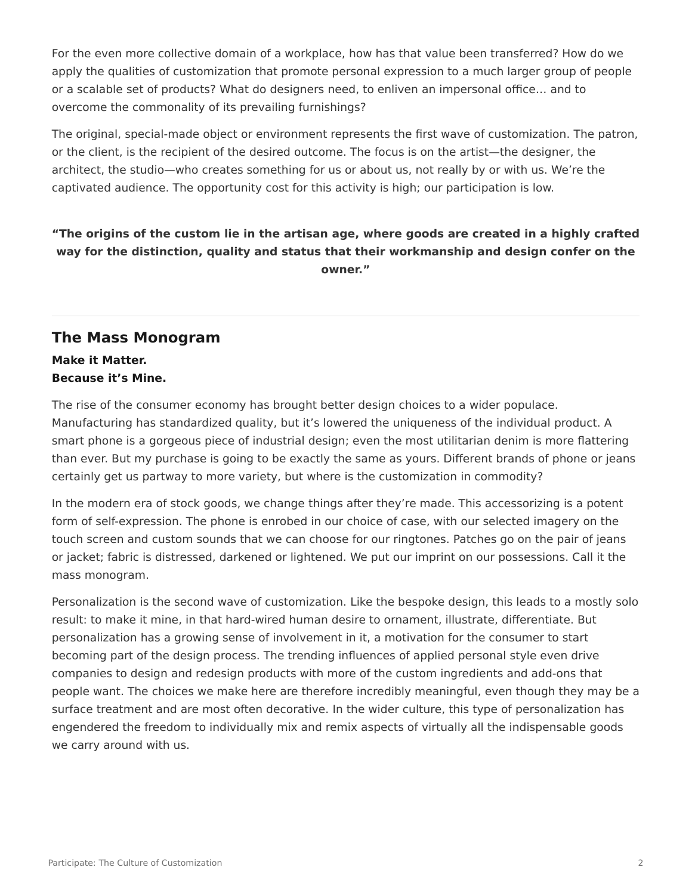For the even more collective domain of a workplace, how has that value been transferred? How do we apply the qualities of customization that promote personal expression to a much larger group of people or a scalable set of products? What do designers need, to enliven an impersonal office… and to overcome the commonality of its prevailing furnishings?

The original, special-made object or environment represents the first wave of customization. The patron, or the client, is the recipient of the desired outcome. The focus is on the artist—the designer, the architect, the studio—who creates something for us or about us, not really by or with us. We're the captivated audience. The opportunity cost for this activity is high; our participation is low.

## **"The origins of the custom lie in the artisan age, where goods are created in a highly crafted way for the distinction, quality and status that their workmanship and design confer on the owner."**

## **The Mass Monogram**

**Make it Matter. Because it's Mine.**

The rise of the consumer economy has brought better design choices to a wider populace. Manufacturing has standardized quality, but it's lowered the uniqueness of the individual product. A smart phone is a gorgeous piece of industrial design; even the most utilitarian denim is more flattering than ever. But my purchase is going to be exactly the same as yours. Different brands of phone or jeans certainly get us partway to more variety, but where is the customization in commodity?

In the modern era of stock goods, we change things after they're made. This accessorizing is a potent form of self-expression. The phone is enrobed in our choice of case, with our selected imagery on the touch screen and custom sounds that we can choose for our ringtones. Patches go on the pair of jeans or jacket; fabric is distressed, darkened or lightened. We put our imprint on our possessions. Call it the mass monogram.

Personalization is the second wave of customization. Like the bespoke design, this leads to a mostly solo result: to make it mine, in that hard-wired human desire to ornament, illustrate, differentiate. But personalization has a growing sense of involvement in it, a motivation for the consumer to start becoming part of the design process. The trending influences of applied personal style even drive companies to design and redesign products with more of the custom ingredients and add-ons that people want. The choices we make here are therefore incredibly meaningful, even though they may be a surface treatment and are most often decorative. In the wider culture, this type of personalization has engendered the freedom to individually mix and remix aspects of virtually all the indispensable goods we carry around with us.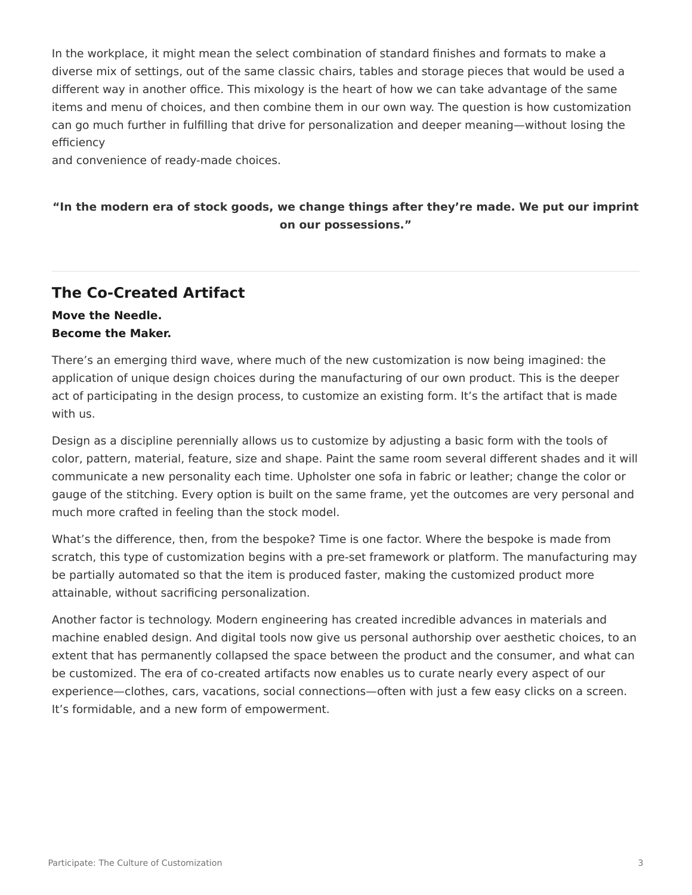In the workplace, it might mean the select combination of standard finishes and formats to make a diverse mix of settings, out of the same classic chairs, tables and storage pieces that would be used a different way in another office. This mixology is the heart of how we can take advantage of the same items and menu of choices, and then combine them in our own way. The question is how customization can go much further in fulfilling that drive for personalization and deeper meaning—without losing the efficiency

and convenience of ready-made choices.

## **"In the modern era of stock goods, we change things after they're made. We put our imprint on our possessions."**

# **The Co-Created Artifact**

#### **Move the Needle. Become the Maker.**

There's an emerging third wave, where much of the new customization is now being imagined: the application of unique design choices during the manufacturing of our own product. This is the deeper act of participating in the design process, to customize an existing form. It's the artifact that is made with us.

Design as a discipline perennially allows us to customize by adjusting a basic form with the tools of color, pattern, material, feature, size and shape. Paint the same room several different shades and it will communicate a new personality each time. Upholster one sofa in fabric or leather; change the color or gauge of the stitching. Every option is built on the same frame, yet the outcomes are very personal and much more crafted in feeling than the stock model.

What's the difference, then, from the bespoke? Time is one factor. Where the bespoke is made from scratch, this type of customization begins with a pre-set framework or platform. The manufacturing may be partially automated so that the item is produced faster, making the customized product more attainable, without sacrificing personalization.

Another factor is technology. Modern engineering has created incredible advances in materials and machine enabled design. And digital tools now give us personal authorship over aesthetic choices, to an extent that has permanently collapsed the space between the product and the consumer, and what can be customized. The era of co-created artifacts now enables us to curate nearly every aspect of our experience—clothes, cars, vacations, social connections—often with just a few easy clicks on a screen. It's formidable, and a new form of empowerment.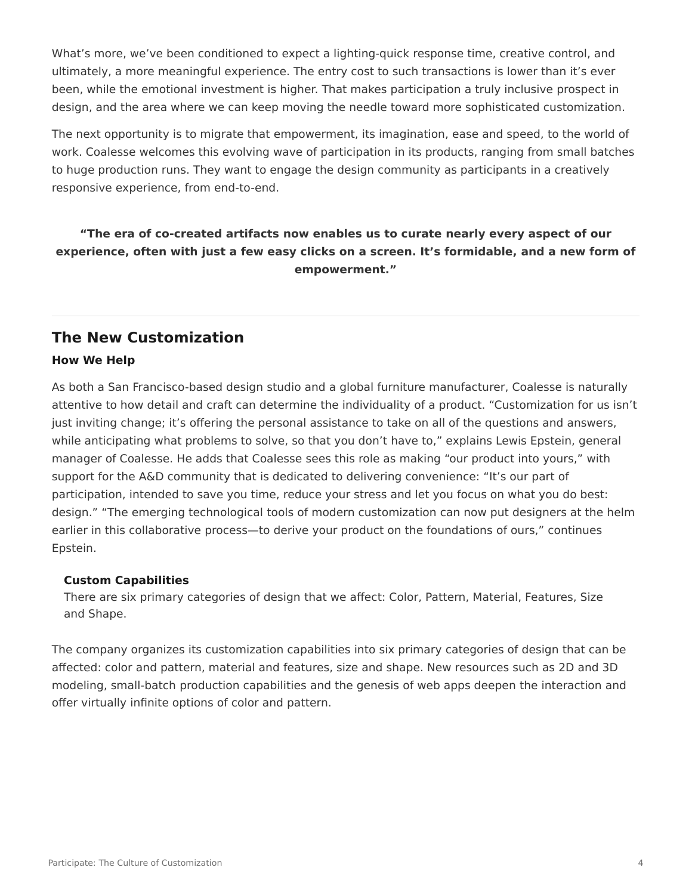What's more, we've been conditioned to expect a lighting-quick response time, creative control, and ultimately, a more meaningful experience. The entry cost to such transactions is lower than it's ever been, while the emotional investment is higher. That makes participation a truly inclusive prospect in design, and the area where we can keep moving the needle toward more sophisticated customization.

The next opportunity is to migrate that empowerment, its imagination, ease and speed, to the world of work. Coalesse welcomes this evolving wave of participation in its products, ranging from small batches to huge production runs. They want to engage the design community as participants in a creatively responsive experience, from end-to-end.

## **"The era of co-created artifacts now enables us to curate nearly every aspect of our experience, often with just a few easy clicks on a screen. It's formidable, and a new form of empowerment."**

## **The New Customization**

#### **How We Help**

As both a San Francisco-based design studio and a global furniture manufacturer, Coalesse is naturally attentive to how detail and craft can determine the individuality of a product. "Customization for us isn't just inviting change; it's offering the personal assistance to take on all of the questions and answers, while anticipating what problems to solve, so that you don't have to," explains Lewis Epstein, general manager of Coalesse. He adds that Coalesse sees this role as making "our product into yours," with support for the A&D community that is dedicated to delivering convenience: "It's our part of participation, intended to save you time, reduce your stress and let you focus on what you do best: design." "The emerging technological tools of modern customization can now put designers at the helm earlier in this collaborative process—to derive your product on the foundations of ours," continues Epstein.

#### **Custom Capabilities**

There are six primary categories of design that we affect: Color, Pattern, Material, Features, Size and Shape.

The company organizes its customization capabilities into six primary categories of design that can be affected: color and pattern, material and features, size and shape. New resources such as 2D and 3D modeling, small-batch production capabilities and the genesis of web apps deepen the interaction and offer virtually infinite options of color and pattern.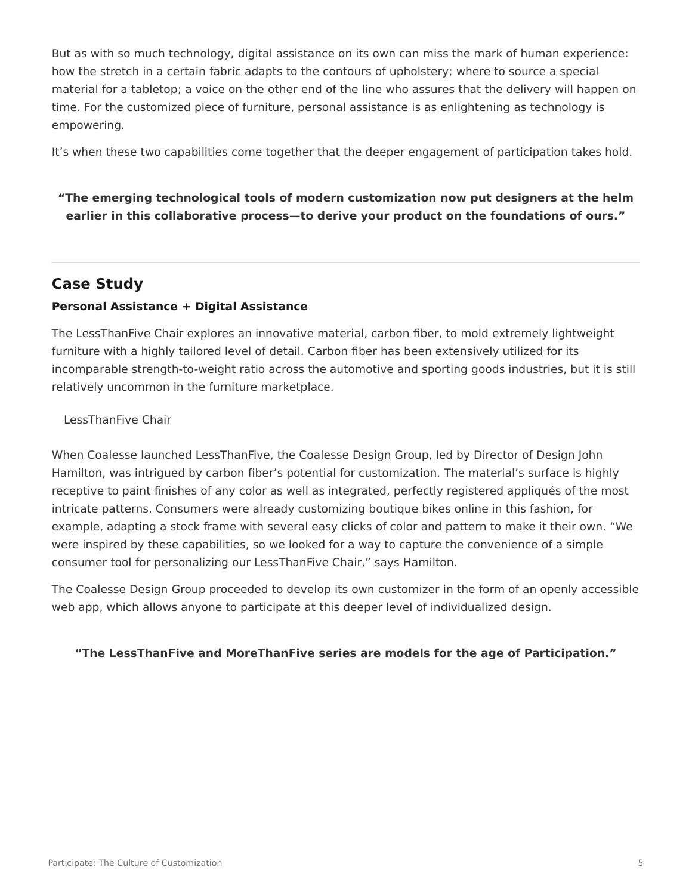But as with so much technology, digital assistance on its own can miss the mark of human experience: how the stretch in a certain fabric adapts to the contours of upholstery; where to source a special material for a tabletop; a voice on the other end of the line who assures that the delivery will happen on time. For the customized piece of furniture, personal assistance is as enlightening as technology is empowering.

It's when these two capabilities come together that the deeper engagement of participation takes hold.

## **"The emerging technological tools of modern customization now put designers at the helm earlier in this collaborative process—to derive your product on the foundations of ours."**

# **Case Study**

#### **Personal Assistance + Digital Assistance**

The LessThanFive Chair explores an innovative material, carbon fiber, to mold extremely lightweight furniture with a highly tailored level of detail. Carbon fiber has been extensively utilized for its incomparable strength-to-weight ratio across the automotive and sporting goods industries, but it is still relatively uncommon in the furniture marketplace.

LessThanFive Chair

When Coalesse launched LessThanFive, the Coalesse Design Group, led by Director of Design John Hamilton, was intrigued by carbon fiber's potential for customization. The material's surface is highly receptive to paint finishes of any color as well as integrated, perfectly registered appliqués of the most intricate patterns. Consumers were already customizing boutique bikes online in this fashion, for example, adapting a stock frame with several easy clicks of color and pattern to make it their own. "We were inspired by these capabilities, so we looked for a way to capture the convenience of a simple consumer tool for personalizing our LessThanFive Chair," says Hamilton.

The Coalesse Design Group proceeded to develop its own customizer in the form of an openly accessible web app, which allows anyone to participate at this deeper level of individualized design.

#### **"The LessThanFive and MoreThanFive series are models for the age of Participation."**